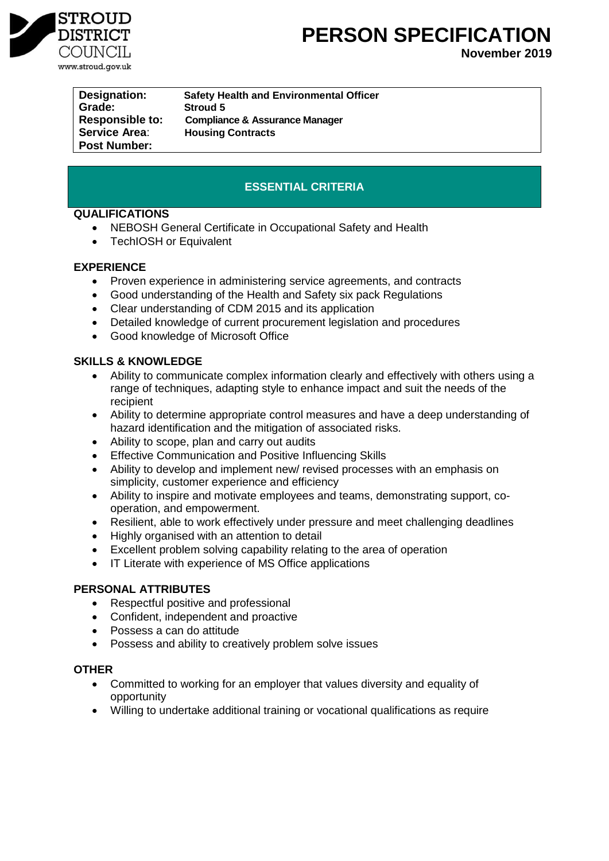

# **PERSON SPECIFICATION**

**November 2019**

**Grade: Stroud 5 Service Area**: **Housing Contracts Post Number:** 

**Designation: Safety Health and Environmental Officer Responsible to: Compliance & Assurance Manager**

## **ESSENTIAL CRITERIA**

## **QUALIFICATIONS**

- NEBOSH General Certificate in Occupational Safety and Health
- TechIOSH or Equivalent

## **EXPERIENCE**

- Proven experience in administering service agreements, and contracts
- Good understanding of the Health and Safety six pack Regulations
- Clear understanding of CDM 2015 and its application
- Detailed knowledge of current procurement legislation and procedures
- Good knowledge of Microsoft Office

## **SKILLS & KNOWLEDGE**

- Ability to communicate complex information clearly and effectively with others using a range of techniques, adapting style to enhance impact and suit the needs of the recipient
- Ability to determine appropriate control measures and have a deep understanding of hazard identification and the mitigation of associated risks.
- Ability to scope, plan and carry out audits
- **•** Effective Communication and Positive Influencing Skills
- Ability to develop and implement new/ revised processes with an emphasis on simplicity, customer experience and efficiency
- Ability to inspire and motivate employees and teams, demonstrating support, cooperation, and empowerment.
- Resilient, able to work effectively under pressure and meet challenging deadlines
- Highly organised with an attention to detail
- Excellent problem solving capability relating to the area of operation
- IT Literate with experience of MS Office applications

## **PERSONAL ATTRIBUTES**

- Respectful positive and professional
- Confident, independent and proactive
- Possess a can do attitude
- Possess and ability to creatively problem solve issues

## **OTHER**

- Committed to working for an employer that values diversity and equality of opportunity
- Willing to undertake additional training or vocational qualifications as require